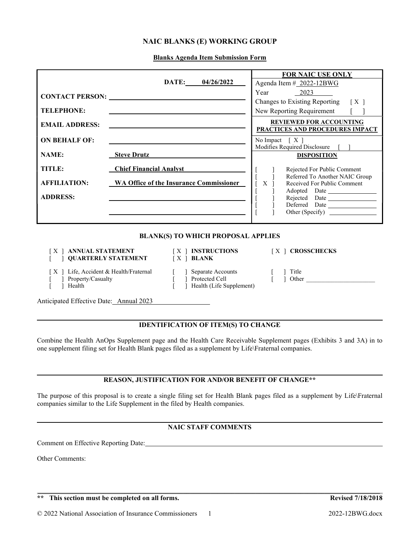# NAIC BLANKS (E) WORKING GROUP

Blanks Agenda Item Submission Form

|                                                                                            |                                |                                                                     | <b>FOR NAIC USE ONLY</b>                                           |
|--------------------------------------------------------------------------------------------|--------------------------------|---------------------------------------------------------------------|--------------------------------------------------------------------|
|                                                                                            |                                | DATE:<br>04/26/2022                                                 | Agenda Item # 2022-12BWG                                           |
| <b>CONTACT PERSON:</b> <u>CONTACT PERSON:</u>                                              |                                |                                                                     | Year<br>2023                                                       |
|                                                                                            |                                |                                                                     | Changes to Existing Reporting<br>$\lceil$ X $\rceil$               |
| <b>TELEPHONE:</b>                                                                          |                                | New Reporting Requirement                                           |                                                                    |
| <b>REVIEWED FOR ACCOUNTING</b><br><b>EMAIL ADDRESS:</b><br>PRACTICES AND PROCEDURES IMPACT |                                |                                                                     |                                                                    |
| <b>ON BEHALF OF:</b>                                                                       |                                |                                                                     | No Impact $[X]$                                                    |
| <b>NAME:</b>                                                                               | <b>Steve Drutz</b>             |                                                                     | Modifies Required Disclosure<br><b>DISPOSITION</b>                 |
|                                                                                            |                                |                                                                     |                                                                    |
| TITLE:                                                                                     | <b>Chief Financial Analyst</b> |                                                                     | Rejected For Public Comment                                        |
| <b>AFFILIATION:</b>                                                                        |                                | <b>WA Office of the Insurance Commissioner</b>                      | Referred To Another NAIC Group<br>X<br>Received For Public Comment |
|                                                                                            |                                |                                                                     | Adopted Date                                                       |
| <b>ADDRESS:</b>                                                                            |                                |                                                                     | Rejected Date<br>Deferred Date                                     |
|                                                                                            |                                |                                                                     | Other (Specify)                                                    |
|                                                                                            |                                |                                                                     |                                                                    |
|                                                                                            |                                | <b>BLANK(S) TO WHICH PROPOSAL APPLIES</b>                           |                                                                    |
|                                                                                            |                                | ANNUAL STATEMENT   X   INSTRUCTIONS                                 | [X ] CROSSCHECKS                                                   |
|                                                                                            | <b>QUARTERLY STATEMENT</b>     | $[X]$ BLANK                                                         |                                                                    |
| ] Life, Accident & Health/Fraternal<br>Property/Casualty<br>Health                         |                                | ] Separate Accounts<br>1 Protected Cell<br>Health (Life Supplement) | Title<br>Other                                                     |

Anticipated Effective Date: Annual 2023

## IDENTIFICATION OF ITEM(S) TO CHANGE

Combine the Health AnOps Supplement page and the Health Care Receivable Supplement pages (Exhibits 3 and 3A) in to one supplement filing set for Health Blank pages filed as a supplement by Life\Fraternal companies.

# REASON, JUSTIFICATION FOR AND/OR BENEFIT OF CHANGE\*\*

The purpose of this proposal is to create a single filing set for Health Blank pages filed as a supplement by Life\Fraternal companies similar to the Life Supplement in the filed by Health companies.

# NAIC STAFF COMMENTS

 $\mathcal{L}_\mathcal{L} = \mathcal{L}_\mathcal{L} = \mathcal{L}_\mathcal{L} = \mathcal{L}_\mathcal{L} = \mathcal{L}_\mathcal{L} = \mathcal{L}_\mathcal{L} = \mathcal{L}_\mathcal{L} = \mathcal{L}_\mathcal{L} = \mathcal{L}_\mathcal{L} = \mathcal{L}_\mathcal{L} = \mathcal{L}_\mathcal{L} = \mathcal{L}_\mathcal{L} = \mathcal{L}_\mathcal{L} = \mathcal{L}_\mathcal{L} = \mathcal{L}_\mathcal{L} = \mathcal{L}_\mathcal{L} = \mathcal{L}_\mathcal{L}$ 

Comment on Effective Reporting Date:

Other Comments:

l

 $\overline{a}$ 

 $\overline{a}$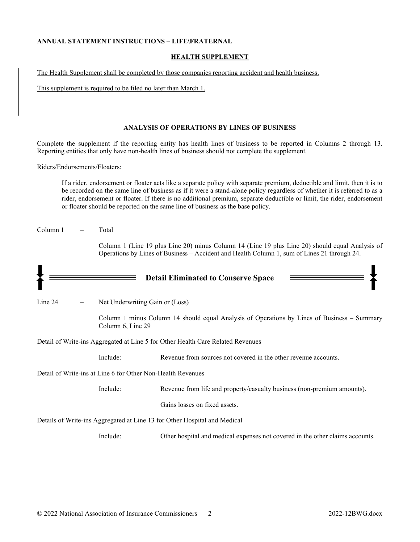### ANNUAL STATEMENT INSTRUCTIONS – LIFE\FRATERNAL

## HEALTH SUPPLEMENT

The Health Supplement shall be completed by those companies reporting accident and health business.

This supplement is required to be filed no later than March 1.

### ANALYSIS OF OPERATIONS BY LINES OF BUSINESS

Complete the supplement if the reporting entity has health lines of business to be reported in Columns 2 through 13. Reporting entities that only have non-health lines of business should not complete the supplement.

Riders/Endorsements/Floaters:

If a rider, endorsement or floater acts like a separate policy with separate premium, deductible and limit, then it is to be recorded on the same line of business as if it were a stand-alone policy regardless of whether it is referred to as a rider, endorsement or floater. If there is no additional premium, separate deductible or limit, the rider, endorsement or floater should be reported on the same line of business as the base policy.

| Column 1 | Total |
|----------|-------|
|          |       |

Column 1 (Line 19 plus Line 20) minus Column 14 (Line 19 plus Line 20) should equal Analysis of Operations by Lines of Business – Accident and Health Column 1, sum of Lines 21 through 24.

|         |                                                             | <b>Detail Eliminated to Conserve Space</b>                                                  |
|---------|-------------------------------------------------------------|---------------------------------------------------------------------------------------------|
| Line 24 | Net Underwriting Gain or (Loss)                             |                                                                                             |
|         | Column 6, Line 29                                           | Column 1 minus Column 14 should equal Analysis of Operations by Lines of Business – Summary |
|         |                                                             | Detail of Write-ins Aggregated at Line 5 for Other Health Care Related Revenues             |
|         | Include:                                                    | Revenue from sources not covered in the other revenue accounts.                             |
|         | Detail of Write-ins at Line 6 for Other Non-Health Revenues |                                                                                             |
|         | Include:                                                    | Revenue from life and property/casualty business (non-premium amounts).                     |
|         |                                                             | Gains losses on fixed assets.                                                               |
|         |                                                             | Details of Write-ins Aggregated at Line 13 for Other Hospital and Medical                   |
|         | Include:                                                    | Other hospital and medical expenses not covered in the other claims accounts.               |
|         |                                                             |                                                                                             |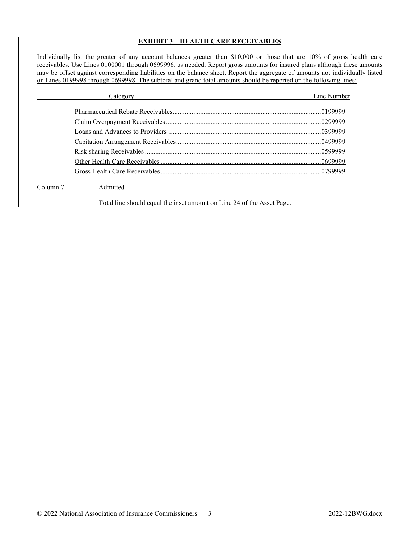## EXHIBIT 3 – HEALTH CARE RECEIVABLES

Individually list the greater of any account balances greater than \$10,000 or those that are 10% of gross health care receivables. Use Lines 0100001 through 0699996, as needed. Report gross amounts for insured plans although these amounts may be offset against corresponding liabilities on the balance sheet. Report the aggregate of amounts not individually listed on Lines 0199998 through 0699998. The subtotal and grand total amounts should be reported on the following lines:

| Line Number |
|-------------|
|             |
|             |
|             |
|             |
|             |
|             |
|             |
|             |

Column 7 – Admitted

Total line should equal the inset amount on Line 24 of the Asset Page.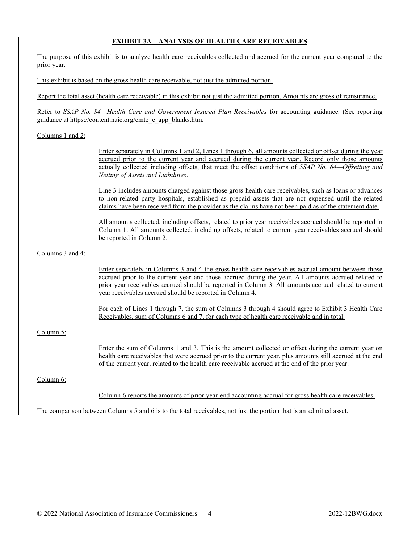# EXHIBIT 3A – ANALYSIS OF HEALTH CARE RECEIVABLES

The purpose of this exhibit is to analyze health care receivables collected and accrued for the current year compared to the prior year.

This exhibit is based on the gross health care receivable, not just the admitted portion.

Report the total asset (health care receivable) in this exhibit not just the admitted portion. Amounts are gross of reinsurance.

Refer to SSAP No. 84—Health Care and Government Insured Plan Receivables for accounting guidance. (See reporting guidance at https://content.naic.org/cmte\_e\_app\_blanks.htm.

### Columns 1 and 2:

Enter separately in Columns 1 and 2, Lines 1 through 6, all amounts collected or offset during the year accrued prior to the current year and accrued during the current year. Record only those amounts actually collected including offsets, that meet the offset conditions of SSAP No. 64—Offsetting and Netting of Assets and Liabilities.

Line 3 includes amounts charged against those gross health care receivables, such as loans or advances to non-related party hospitals, established as prepaid assets that are not expensed until the related claims have been received from the provider as the claims have not been paid as of the statement date.

All amounts collected, including offsets, related to prior year receivables accrued should be reported in Column 1. All amounts collected, including offsets, related to current year receivables accrued should be reported in Column 2.

Columns 3 and 4:

Enter separately in Columns 3 and 4 the gross health care receivables accrual amount between those accrued prior to the current year and those accrued during the year. All amounts accrued related to prior year receivables accrued should be reported in Column 3. All amounts accrued related to current year receivables accrued should be reported in Column 4.

For each of Lines 1 through 7, the sum of Columns 3 through 4 should agree to Exhibit 3 Health Care Receivables, sum of Columns 6 and 7, for each type of health care receivable and in total.

## Column 5:

Enter the sum of Columns 1 and 3. This is the amount collected or offset during the current year on health care receivables that were accrued prior to the current year, plus amounts still accrued at the end of the current year, related to the health care receivable accrued at the end of the prior year.

## Column 6:

Column 6 reports the amounts of prior year-end accounting accrual for gross health care receivables.

The comparison between Columns 5 and 6 is to the total receivables, not just the portion that is an admitted asset.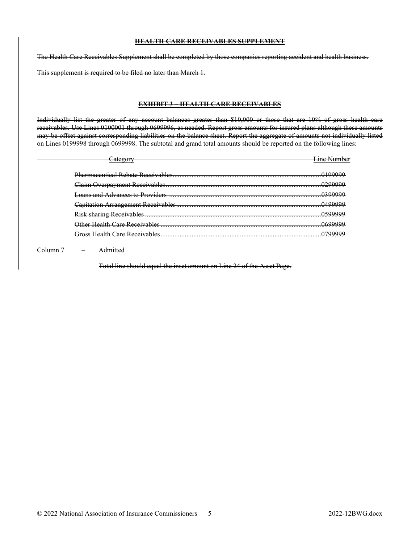## HEALTH CARE RECEIVABLES SUPPLEMENT

The Health Care Receivables Supplement shall be completed by those companies reporting accident and health business.

This supplement is required to be filed no later than March 1.

### EXHIBIT 3 – HEALTH CARE RECEIVABLES

Individually list the greater of any account balances greater than \$10,000 or those that are 10% of gross health care receivables. Use Lines 0100001 through 0699996, as needed. Report gross amounts for insured plans although these amounts may be offset against corresponding liabilities on the balance sheet. Report the aggregate of amounts not individually listed on Lines 0199998 through 0699998. The subtotal and grand total amounts should be reported on the following lines:

| Loans and Advances to Providers …………………………………………………………………………… |  |
|---------------------------------------------------------------|--|
|                                                               |  |
|                                                               |  |
| har Haalth Care Decentualed                                   |  |
| Iross Haalth Cara Racaivablas                                 |  |

Column 7 – Admitted

Total line should equal the inset amount on Line 24 of the Asset Page.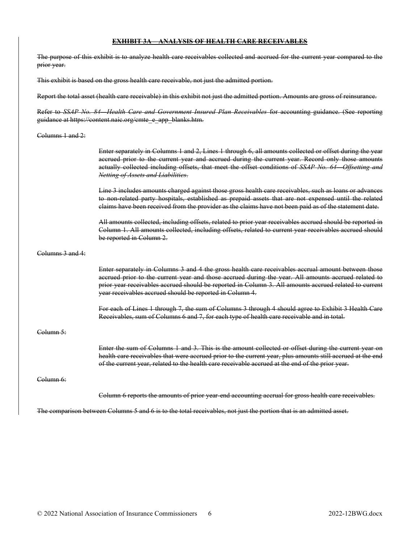### EXHIBIT 3A – ANALYSIS OF HEALTH CARE RECEIVABLES

The purpose of this exhibit is to analyze health care receivables collected and accrued for the current year compared to the prior year.

This exhibit is based on the gross health care receivable, not just the admitted portion.

Report the total asset (health care receivable) in this exhibit not just the admitted portion. Amounts are gross of reinsurance.

Refer to SSAP No. 84—Health Care and Government Insured Plan Receivables for accounting guidance. (See reporting guidance at https://content.naic.org/cmte\_e\_app\_blanks.htm.

#### Columns 1 and 2:

Enter separately in Columns 1 and 2, Lines 1 through 6, all amounts collected or offset during the year accrued prior to the current year and accrued during the current year. Record only those amounts actually collected including offsets, that meet the offset conditions of SSAP No. 64 Offsetting and Netting of Assets and Liabilities.

Line 3 includes amounts charged against those gross health care receivables, such as loans or advances to non-related party hospitals, established as prepaid assets that are not expensed until the related claims have been received from the provider as the claims have not been paid as of the statement date.

All amounts collected, including offsets, related to prior year receivables accrued should be reported in Column 1. All amounts collected, including offsets, related to current year receivables accrued should be reported in Column 2.

#### Columns 3 and 4:

Enter separately in Columns 3 and 4 the gross health care receivables accrual amount between those accrued prior to the current year and those accrued during the year. All amounts accrued related to prior year receivables accrued should be reported in Column 3. All amounts accrued related to current year receivables accrued should be reported in Column 4.

For each of Lines 1 through 7, the sum of Columns 3 through 4 should agree to Exhibit 3 Health Care Receivables, sum of Columns 6 and 7, for each type of health care receivable and in total.

#### Column 5:

Enter the sum of Columns 1 and 3. This is the amount collected or offset during the current year on health care receivables that were accrued prior to the current year, plus amounts still accrued at the end of the current year, related to the health care receivable accrued at the end of the prior year.

### Column 6:

Column 6 reports the amounts of prior year-end accounting accrual for gross health care receivables.

The comparison between Columns 5 and 6 is to the total receivables, not just the portion that is an admitted asset.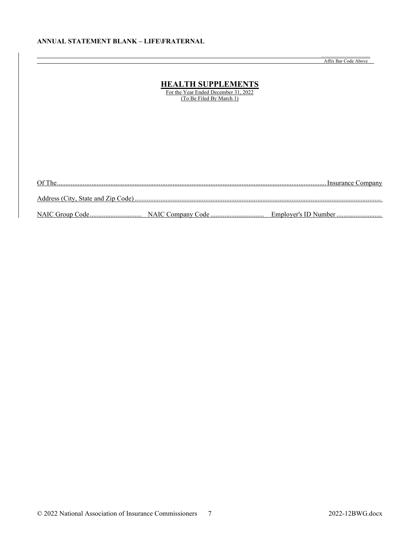## ANNUAL STATEMENT BLANK – LIFE\FRATERNAL

........................................ Affix Bar Code Above

|        | <b>HEALTH SUPPLEMENTS</b><br>For the Year Ended December 31, 2022<br>(To Be Filed By March 1) |  |
|--------|-----------------------------------------------------------------------------------------------|--|
|        |                                                                                               |  |
|        |                                                                                               |  |
| Of The |                                                                                               |  |
|        |                                                                                               |  |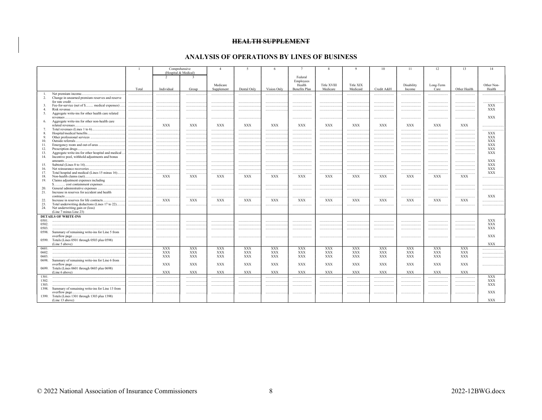### **HEALTH SUPPLEMENT**

## ANALYSIS OF OPERATIONS BY LINES OF BUSINESS

|                |                                                                                                      |        |               | Comprehensive                                   | $\overline{4}$         | -5          | 6           | $7\phantom{.0}$                | -8                      | $\mathbf Q$           | 10         | 11                   | 12                | 13             | 14                       |
|----------------|------------------------------------------------------------------------------------------------------|--------|---------------|-------------------------------------------------|------------------------|-------------|-------------|--------------------------------|-------------------------|-----------------------|------------|----------------------|-------------------|----------------|--------------------------|
|                |                                                                                                      |        | $\mathcal{L}$ | (Hospital & Medical)<br>$\overline{\mathbf{3}}$ |                        |             |             | Federal                        |                         |                       |            |                      |                   |                |                          |
|                |                                                                                                      |        |               |                                                 |                        |             |             | Employees                      |                         |                       |            |                      |                   |                |                          |
|                |                                                                                                      | Total  | Individual    | Group                                           | Medicare<br>Supplement | Dental Only | Vision Only | Health<br><b>Benefits Plan</b> | Title XVIII<br>Medicare | Title XIX<br>Medicaid | Credit A&H | Disability<br>Income | Long-Term<br>Care | Other Health   | Other Non-<br>Health     |
| -1.            | Net premium income                                                                                   |        |               |                                                 |                        |             |             |                                |                         |                       |            |                      |                   | .              |                          |
| 2.             | Change in unearned premium reserves and reserve                                                      |        |               |                                                 |                        |             |             |                                |                         |                       |            |                      |                   |                |                          |
| 3.             | for rate credit.<br>Fee-for-service (net of \$ medical expenses)                                     |        |               |                                                 |                        |             |             |                                |                         |                       |            |                      |                   |                | <b>XXX</b>               |
| 4.             | Risk revenue                                                                                         |        |               |                                                 |                        |             |             |                                |                         |                       |            |                      |                   |                | <b>XXX</b>               |
| 5.             | Aggregate write-ins for other health care related                                                    |        |               |                                                 |                        |             |             |                                |                         |                       |            |                      |                   |                |                          |
|                | revenues                                                                                             |        |               |                                                 |                        |             |             |                                |                         |                       |            |                      |                   |                | <b>XXX</b>               |
| 6.             | Aggregate write-ins for other non-health care                                                        |        |               |                                                 |                        |             |             |                                |                         |                       |            |                      |                   |                |                          |
|                | related revenues.                                                                                    |        | <b>XXX</b>    | $\mathbf{XXX}$                                  | $\mathbf{XXX}$         | XXX         | XXX         | XXX                            | <b>XXX</b>              | <b>XXX</b>            | XXX        | XXX                  | <b>XXX</b>        | $\mathbf{XXX}$ |                          |
| 7.<br>8.       |                                                                                                      | .<br>. | .             |                                                 |                        |             |             | <br>                           |                         |                       | <br>       |                      |                   | <br>           | <b>XXX</b>               |
| 9.             |                                                                                                      | .      |               |                                                 |                        |             |             |                                |                         | .                     |            |                      |                   | .              | <b>XXX</b>               |
| 10.            | Outside referrals<br>                                                                                | .      | .             |                                                 |                        |             |             |                                |                         |                       |            |                      |                   |                | <b>XXX</b>               |
| 11.            |                                                                                                      | .      | .             |                                                 |                        |             |             |                                |                         |                       |            |                      |                   |                | <b>XXX</b>               |
| 12.            | Prescription drugs                                                                                   |        | .             |                                                 |                        |             |             |                                |                         | .                     |            |                      |                   |                | XXX                      |
| 13.<br>14.     | Aggregate write-ins for other hospital and medical<br>Incentive pool, withhold adjustments and bonus | .      | .             |                                                 |                        |             |             |                                |                         |                       |            |                      |                   |                | <b>XXX</b>               |
|                | amounts                                                                                              | .      | .             |                                                 |                        |             |             |                                |                         |                       | .          |                      |                   |                | <b>XXX</b><br><b>XXX</b> |
| 15.<br>16.     |                                                                                                      | .      |               |                                                 |                        |             |             |                                |                         |                       |            |                      |                   | <br>.          | <b>XXX</b>               |
| 17.            | Total hospital and medical (Lines 15 minus 16)                                                       | .      |               |                                                 |                        |             |             |                                |                         |                       |            |                      |                   |                | <b>XXX</b>               |
| 18.            |                                                                                                      |        | <b>XXX</b>    | XXX                                             | XXX                    | XXX         | XXX         | XXX                            | XXX                     | <b>XXX</b>            | <b>XXX</b> | XXX                  | <b>XXX</b>        | <b>XXX</b>     |                          |
| 19.            | Claims adjustment expenses including                                                                 |        |               |                                                 |                        |             |             |                                |                         |                       |            |                      |                   |                |                          |
|                |                                                                                                      | .      |               |                                                 |                        |             |             |                                |                         |                       |            |                      |                   |                |                          |
| 20.<br>21.     | Increase in reserves for accident and health                                                         | .      |               |                                                 |                        |             |             |                                |                         |                       |            |                      |                   |                |                          |
|                | contracts.                                                                                           |        |               |                                                 |                        |             |             |                                |                         |                       |            |                      |                   |                | <b>XXX</b>               |
| 22.            | Increase in reserves for life contracts                                                              | .      | <b>XXX</b>    | XXX                                             | <b>XXX</b>             | XXX         | XXX         | XXX                            | XXX                     | <b>XXX</b>            | <b>XXX</b> | XXX                  | <b>XXX</b>        | XXX            |                          |
| 23.            | Total underwriting deductions (Lines 17 to 22)                                                       |        |               |                                                 |                        |             | .           |                                |                         |                       |            |                      |                   |                |                          |
| 24.            | Net underwriting gain or (loss)<br>(Line 7 minus Line 23)                                            |        |               |                                                 |                        |             |             |                                |                         |                       |            |                      |                   |                |                          |
|                | <b>DETAILS OF WRITE-INS</b>                                                                          |        |               |                                                 |                        |             |             |                                |                         |                       |            |                      |                   |                |                          |
| 0501.          |                                                                                                      |        |               |                                                 |                        |             |             |                                |                         |                       |            |                      |                   |                | <b>XXX</b>               |
| 0502.<br>0503. |                                                                                                      |        |               |                                                 |                        |             |             |                                |                         |                       |            |                      |                   |                | XXX<br><b>XXX</b>        |
|                | 0598. Summary of remaining write-ins for Line 5 from                                                 |        |               |                                                 |                        |             |             |                                |                         |                       |            |                      |                   |                |                          |
|                | overflow page                                                                                        |        |               |                                                 |                        |             |             |                                |                         |                       |            |                      |                   |                | <b>XXX</b>               |
| 0599.          | Totals (Lines 0501 through 0503 plus 0598)<br>(Line 5 above)                                         |        |               |                                                 |                        |             |             |                                |                         |                       |            |                      |                   |                | <b>XXX</b>               |
| 0601.          |                                                                                                      |        | <b>XXX</b>    | <b>XXX</b>                                      | <b>XXX</b>             | <b>XXX</b>  | XXX         | <b>XXX</b>                     | <b>XXX</b>              | <b>XXX</b>            | <b>XXX</b> | XXX                  | <b>XXX</b>        | <b>XXX</b>     |                          |
| 0602.          |                                                                                                      |        | <b>XXX</b>    | <b>XXX</b>                                      | <b>XXX</b>             | <b>XXX</b>  | <b>XXX</b>  | <b>XXX</b>                     | <b>XXX</b>              | <b>XXX</b>            | <b>XXX</b> | <b>XXX</b>           | <b>XXX</b>        | <b>XXX</b>     |                          |
| 0603.          |                                                                                                      |        | XXX           | <b>XXX</b>                                      | <b>XXX</b>             | <b>XXX</b>  | XXX         | <b>XXX</b>                     | <b>XXX</b>              | <b>XXX</b>            | <b>XXX</b> | XXX                  | XXX               | XXX            |                          |
|                | 0698. Summary of remaining write-ins for Line 6 from<br>overflow page.                               |        | <b>XXX</b>    | <b>XXX</b>                                      | <b>XXX</b>             | <b>XXX</b>  | <b>XXX</b>  | <b>XXX</b>                     | <b>XXX</b>              | <b>XXX</b>            | <b>XXX</b> | <b>XXX</b>           | <b>XXX</b>        | <b>XXX</b>     |                          |
| 0699.          | Totals (Lines 0601 through 0603 plus 0698)                                                           |        |               |                                                 |                        |             |             |                                |                         |                       |            |                      |                   |                |                          |
|                | (Line 6 above)                                                                                       |        | <b>XXX</b>    | <b>XXX</b>                                      | <b>XXX</b>             | <b>XXX</b>  | <b>XXX</b>  | <b>XXX</b>                     | <b>XXX</b>              | <b>XXX</b>            | <b>XXX</b> | <b>XXX</b>           | <b>XXX</b>        | <b>XXX</b>     |                          |
| 1301.          |                                                                                                      |        |               |                                                 |                        |             |             |                                |                         |                       |            |                      |                   |                | XXX                      |
| 1302.          |                                                                                                      |        |               |                                                 |                        |             |             |                                |                         |                       |            |                      |                   |                | XXX                      |
| 1303.<br>1398. | Summary of remaining write-ins for Line 13 from                                                      |        |               |                                                 |                        |             |             |                                |                         |                       |            |                      |                   |                | <b>XXX</b>               |
|                | overflow page.                                                                                       |        |               |                                                 |                        |             |             |                                |                         |                       |            |                      |                   |                | <b>XXX</b>               |
| 1399.          | Totals (Lines 1301 through 1303 plus 1398)                                                           |        |               |                                                 |                        |             |             |                                |                         |                       |            |                      |                   |                |                          |
|                | (Line 13 above)                                                                                      |        |               |                                                 |                        |             |             |                                |                         |                       |            |                      |                   |                | <b>XXX</b>               |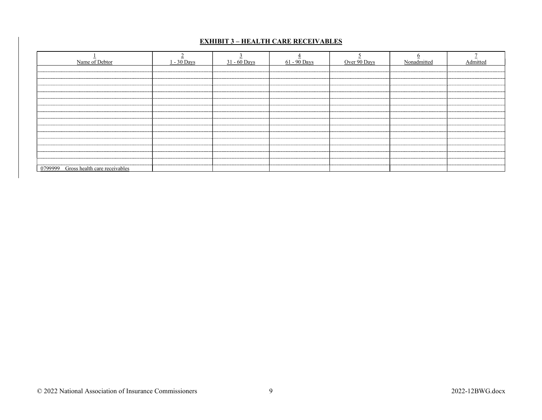# EXHIBIT 3 – HEALTH CARE RECEIVABLES

| Name of Debtor                        | 1 - 30 Days | $31 - 60$ Days | $61 - 90$ Days | Over 90 Days | Nonadmitted                          | Admitted |
|---------------------------------------|-------------|----------------|----------------|--------------|--------------------------------------|----------|
|                                       |             |                |                |              |                                      |          |
|                                       |             |                |                |              | ------------------------------------ |          |
|                                       |             |                |                |              |                                      |          |
|                                       |             |                |                |              |                                      |          |
|                                       |             |                |                |              |                                      |          |
|                                       |             |                |                |              |                                      |          |
| 0799999 Gross health care receivables |             |                |                |              |                                      |          |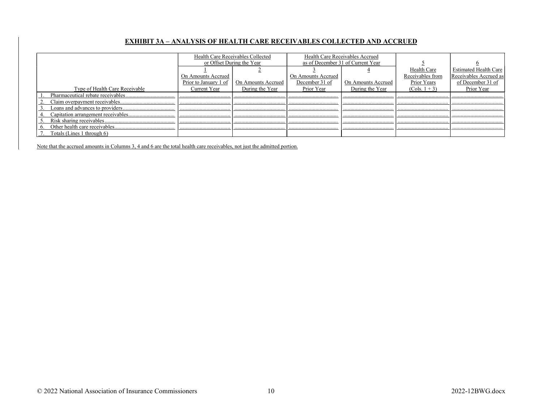## EXHIBIT 3A – ANALYSIS OF HEALTH CARE RECEIVABLES COLLECTED AND ACCRUED

|                                |                       | Health Care Receivables Collected |                                   | Health Care Receivables Accrued |                  |                               |
|--------------------------------|-----------------------|-----------------------------------|-----------------------------------|---------------------------------|------------------|-------------------------------|
|                                |                       | or Offset During the Year         | as of December 31 of Current Year |                                 |                  |                               |
|                                |                       |                                   |                                   |                                 | Health Care      | <b>Estimated Health Care</b>  |
|                                | On Amounts Accrued    |                                   | <b>On Amounts Accrued</b>         |                                 | Receivables from | <b>Receivables Accrued as</b> |
|                                | Prior to January 1 of | On Amounts Accrued                | December 31 of                    | On Amounts Accrued              | Prior Years      | of December 31 of             |
| Type of Health Care Receivable | Current Year          | During the Year                   | Prior Year                        | During the Year                 | $(Cols. 1 + 3)$  | Prior Year                    |
|                                |                       |                                   |                                   |                                 |                  |                               |
|                                |                       |                                   |                                   |                                 |                  |                               |
|                                |                       |                                   |                                   |                                 |                  |                               |
|                                |                       |                                   |                                   |                                 |                  |                               |
|                                |                       |                                   |                                   |                                 |                  |                               |
|                                |                       |                                   |                                   |                                 |                  |                               |
| Totals (Lines 1 through 6)     |                       |                                   |                                   |                                 |                  |                               |

Note that the accrued amounts in Columns 3, 4 and 6 are the total health care receivables, not just the admitted portion.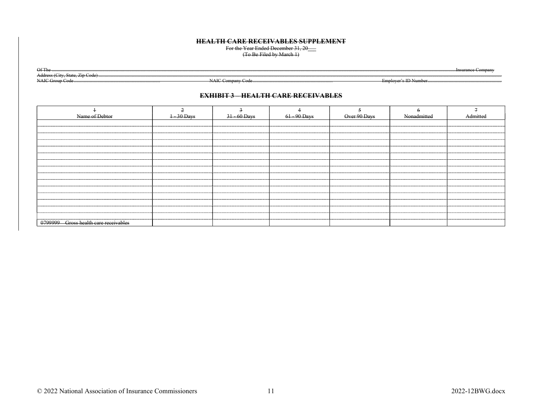### **HEALTH CARE RECEIVABLES SUPPLEMENT**

For the Year Ended December 31, 20<br>
(To Be Filed by March 1)

 $OfTh$ 

Address (City, State, Zip Code) NAIC Group Code

NAIC Company Code

Employer's ID Number

 $C<sub>commant</sub>$ 

### **EXHIBIT 3 HEALTH CARE RECEIVABLES**

| Name of Debtor                        | $\frac{1-30}{20}$ Days | $31 - 60$ Days                        | 61 - 90 Days                          | Over 90 Days | Nonadmitted                           |  |
|---------------------------------------|------------------------|---------------------------------------|---------------------------------------|--------------|---------------------------------------|--|
|                                       |                        |                                       |                                       |              |                                       |  |
|                                       |                        |                                       |                                       |              |                                       |  |
|                                       |                        |                                       |                                       |              |                                       |  |
|                                       |                        |                                       |                                       |              |                                       |  |
|                                       |                        |                                       |                                       |              |                                       |  |
|                                       |                        |                                       |                                       |              |                                       |  |
|                                       |                        |                                       |                                       |              |                                       |  |
|                                       |                        |                                       |                                       |              |                                       |  |
|                                       |                        |                                       |                                       |              |                                       |  |
|                                       |                        | ------------------------------------- |                                       |              | ------------------------------------- |  |
|                                       |                        |                                       | ------------------------------------- |              |                                       |  |
|                                       |                        |                                       |                                       |              |                                       |  |
|                                       |                        |                                       |                                       |              |                                       |  |
|                                       |                        |                                       |                                       |              |                                       |  |
|                                       |                        |                                       |                                       |              |                                       |  |
| 0/99999 Gross health care receivables |                        |                                       | ------------------------------------  |              | ----------------------------------    |  |